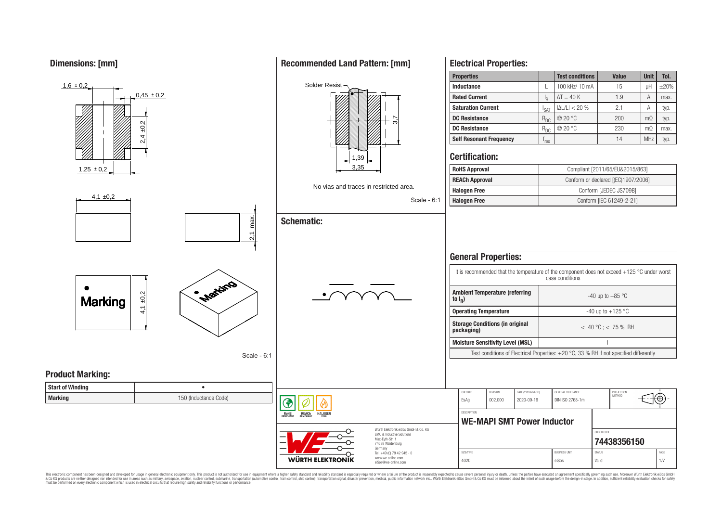**Dimensions: [mm]**



This electronic component has been designed and developed for usage in general electronic equipment only. This product is not authorized for use in equipment where a higher safety standard and reliability standard is espec & Ook product a label and the membed of the seasuch as marked and as which such a membed and the such assume that income in the seasuch and the simulation and the such assume that include to the such a membed and the such

## **Recommended Land Pattern: [mm]**

**Electrical Properties:**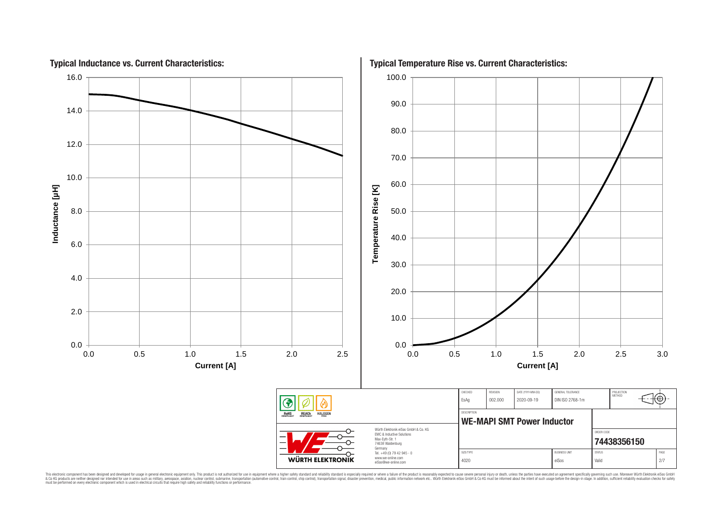

This electronic component has been designed and developed for usage in general electronic equipment only. This product is not authorized for subserved requipment where a higher selection equipment where a higher selection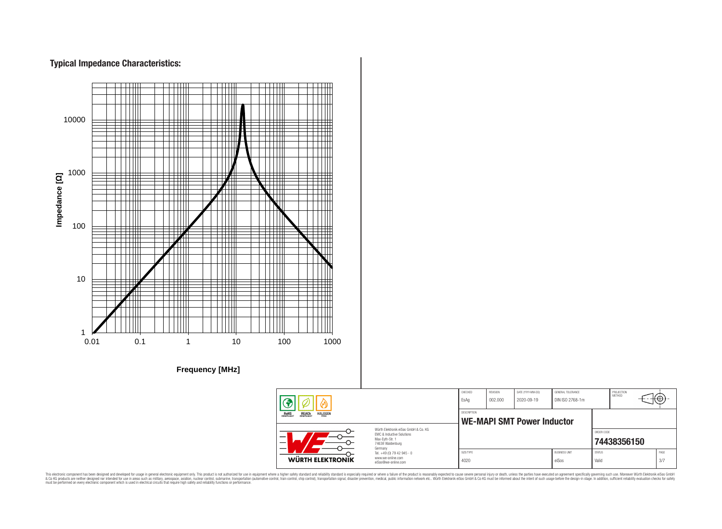# **Typical Impedance Characteristics:**



**Frequency [MHz]**



This electronic component has been designed and developed for usage in general electronic equipment only. This product is not authorized for use in equipment where a higher safely standard and reliability standard si espec & Ook product a label and the membed of the seasuch as marked and as which such a membed and the such assume that income in the seasuch and the simulation and the such assume that include to the such a membed and the such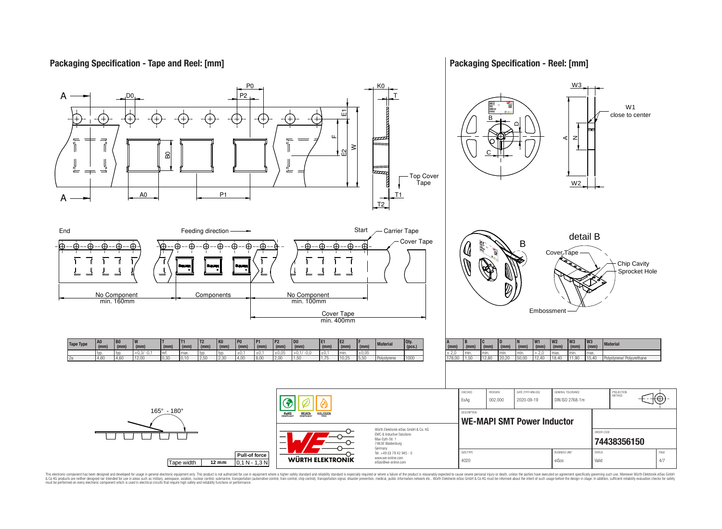## **Packaging Specification - Tape and Reel: [mm]**

## **Packaging Specification - Reel: [mm]**



This electronic component has been designed and developed for usage in general electronic equipment only. This product is not authorized for subserved requipment where a higher selection equipment where a higher selection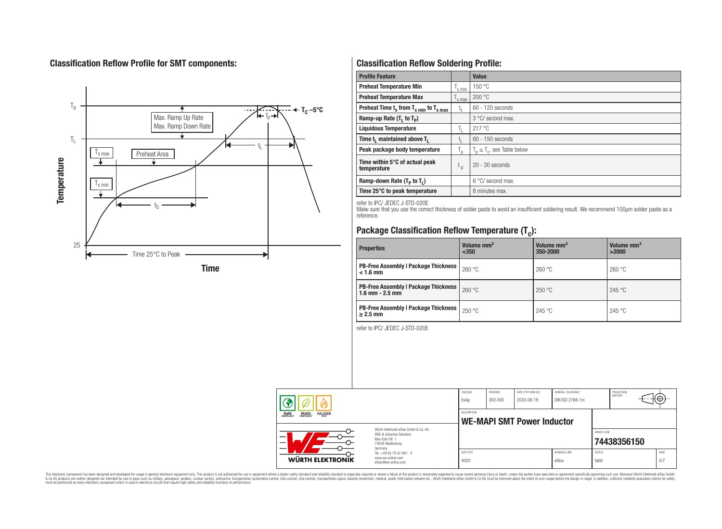# **Classification Reflow Profile for SMT components:**



# **Classification Reflow Soldering Profile:**

| <b>Profile Feature</b>                             |                    | <b>Value</b>                     |
|----------------------------------------------------|--------------------|----------------------------------|
| <b>Preheat Temperature Min</b>                     | <sup>I</sup> s min | 150 °C                           |
| <b>Preheat Temperature Max</b>                     | <sup>I</sup> s max | 200 °C                           |
| Preheat Time $t_s$ from $T_{s min}$ to $T_{s max}$ | $t_{\rm s}$        | $60 - 120$ seconds               |
| Ramp-up Rate $(T_1$ to $T_p$ )                     |                    | 3 °C/ second max.                |
| <b>Liquidous Temperature</b>                       | Ь.                 | 217 °C                           |
| Time $t_i$ maintained above $T_i$                  | կ                  | $60 - 150$ seconds               |
| Peak package body temperature                      | l n                | $T_p \leq T_c$ , see Table below |
| Time within 5°C of actual peak<br>temperature      | $t_{p}$            | $20 - 30$ seconds                |
| Ramp-down Rate $(T_p$ to $T_1$ )                   |                    | $6^{\circ}$ C/ second max.       |
| Time 25°C to peak temperature                      |                    | 8 minutes max.                   |

refer to IPC/ JEDEC J-STD-020E

Make sure that you use the correct thickness of solder paste to avoid an insufficient soldering result. We recommend 100µm solder paste as a reference.

# **Package Classification Reflow Temperature (T<sup>c</sup> ):**

| <b>Properties</b>                                                    | Volume mm <sup>3</sup><br>$350$ | Volume mm <sup>3</sup><br>350-2000 | Volume mm <sup>3</sup><br>>2000 |
|----------------------------------------------------------------------|---------------------------------|------------------------------------|---------------------------------|
| <b>PB-Free Assembly   Package Thickness  </b><br>$< 1.6$ mm          | 260 °C                          | 260 °C                             | 260 °C                          |
| <b>PB-Free Assembly   Package Thickness  </b><br>$1.6$ mm $- 2.5$ mm | 260 °C                          | 250 °C                             | 245 °C                          |
| <b>PB-Free Assembly   Package Thickness  </b><br>$\geq$ 2.5 mm       | 250 °C                          | 245 °C                             | 245 °C                          |

refer to IPC/ JEDEC J-STD-020E

|                                                                         |                                                                                                                     | CHECKED<br>EsAq                                         | REVISION<br>002.000 | DATE (YYYY-MM-DD)<br>2020-09-19 | GENERAL TOLERANCE<br>DIN ISO 2768-1m |                        | PROJECTION<br><b>METHOD</b> |  | ⊤tt⊕+∙      |
|-------------------------------------------------------------------------|---------------------------------------------------------------------------------------------------------------------|---------------------------------------------------------|---------------------|---------------------------------|--------------------------------------|------------------------|-----------------------------|--|-------------|
| <b>ROHS</b><br>COMPLIANT<br><b>REACH</b><br>COMPLIANT<br><b>HALOGEN</b> |                                                                                                                     | <b>DESCRIPTION</b><br><b>WE-MAPI SMT Power Inductor</b> |                     |                                 |                                      |                        |                             |  |             |
| –                                                                       | Würth Elektronik eiSos GmbH & Co. KG<br>EMC & Inductive Solutions<br>Max-Evth-Str. 1<br>74638 Waldenburg<br>Germany |                                                         |                     |                                 |                                      | ORDER CODE             | 74438356150                 |  |             |
| <b>WÜRTH ELEKTRONIK</b>                                                 | Tel. +49 (0) 79 42 945 - 0<br>www.we-online.com<br>eiSos@we-online.com                                              | SIZE/TYPE<br>4020                                       |                     |                                 | <b>BUSINESS UNIT</b><br>eiSos        | <b>STATUS</b><br>Valid |                             |  | PAGE<br>5/7 |

This electronic component has been designed and developed for usage in general electronic equipment only. This product is not authorized for subserved requipment where a higher selection equipment where a higher selection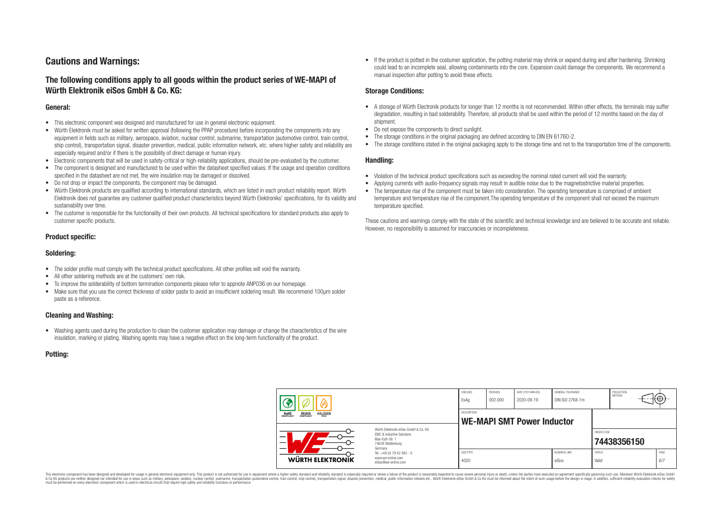# **Cautions and Warnings:**

## **The following conditions apply to all goods within the product series of WE-MAPI of Würth Elektronik eiSos GmbH & Co. KG:**

#### **General:**

- This electronic component was designed and manufactured for use in general electronic equipment.
- Würth Elektronik must be asked for written approval (following the PPAP procedure) before incorporating the components into any equipment in fields such as military, aerospace, aviation, nuclear control, submarine, transportation (automotive control, train control, ship control), transportation signal, disaster prevention, medical, public information network, etc. where higher safety and reliability are especially required and/or if there is the possibility of direct damage or human injury.
- Electronic components that will be used in safety-critical or high-reliability applications, should be pre-evaluated by the customer.
- The component is designed and manufactured to be used within the datasheet specified values. If the usage and operation conditions specified in the datasheet are not met, the wire insulation may be damaged or dissolved.
- Do not drop or impact the components, the component may be damaged.
- Würth Elektronik products are qualified according to international standards, which are listed in each product reliability report. Würth Elektronik does not guarantee any customer qualified product characteristics beyond Würth Elektroniks' specifications, for its validity and sustainability over time.
- The customer is responsible for the functionality of their own products. All technical specifications for standard products also apply to customer specific products.

#### **Product specific:**

#### **Soldering:**

- The solder profile must comply with the technical product specifications. All other profiles will void the warranty.
- All other soldering methods are at the customers' own risk.
- To improve the solderability of bottom termination components please refer to appnote ANP036 on our homepage.
- Make sure that you use the correct thickness of solder paste to avoid an insufficient soldering result. We recommend 100µm solder paste as a reference.

#### **Cleaning and Washing:**

• Washing agents used during the production to clean the customer application may damage or change the characteristics of the wire insulation, marking or plating. Washing agents may have a negative effect on the long-term functionality of the product.

#### **Potting:**

• If the product is potted in the costumer application, the potting material may shrink or expand during and after hardening. Shrinking could lead to an incomplete seal, allowing contaminants into the core. Expansion could damage the components. We recommend a manual inspection after potting to avoid these effects.

#### **Storage Conditions:**

- A storage of Würth Electronik products for longer than 12 months is not recommended. Within other effects, the terminals may suffer degradation, resulting in bad solderability. Therefore, all products shall be used within the period of 12 months based on the day of shipment.
- Do not expose the components to direct sunlight.
- The storage conditions in the original packaging are defined according to DIN EN 61760-2.
- The storage conditions stated in the original packaging apply to the storage time and not to the transportation time of the components.

#### **Handling:**

- Violation of the technical product specifications such as exceeding the nominal rated current will void the warranty.
- Applying currents with audio-frequency signals may result in audible noise due to the magnetostrictive material properties.
- The temperature rise of the component must be taken into consideration. The operating temperature is comprised of ambient temperature and temperature rise of the component.The operating temperature of the component shall not exceed the maximum temperature specified.

These cautions and warnings comply with the state of the scientific and technical knowledge and are believed to be accurate and reliable. However, no responsibility is assumed for inaccuracies or incompleteness.

|                                                                  |                                                                                                                                                                                               | CHECKED<br>EsAg                                         | <b>REVISION</b><br>002.000 | DATE (YYYY-MM-DD)<br>2020-09-19 | GENERAL TOLERANCE<br>DIN ISO 2768-1m |                        | PROJECTION<br>METHOD | (⊕∶         |
|------------------------------------------------------------------|-----------------------------------------------------------------------------------------------------------------------------------------------------------------------------------------------|---------------------------------------------------------|----------------------------|---------------------------------|--------------------------------------|------------------------|----------------------|-------------|
| <b>REACH</b><br>COMPLIANT<br><b>HALOGEN</b><br>ROHS<br>COMPLIANT |                                                                                                                                                                                               | <b>DESCRIPTION</b><br><b>WE-MAPI SMT Power Inductor</b> |                            |                                 |                                      |                        |                      |             |
| –                                                                | Würth Elektronik eiSos GmbH & Co. KG<br>EMC & Inductive Solutions<br>Max-Eyth-Str. 1<br>74638 Waldenburg<br>Germany<br>Tel. +49 (0) 79 42 945 - 0<br>www.we-online.com<br>eiSos@we-online.com |                                                         |                            |                                 |                                      | ORDER CODE             | 74438356150          |             |
| WÜRTH ELEKTRONIK                                                 |                                                                                                                                                                                               | SIZE/TYPE<br>4020                                       |                            |                                 | <b>BUSINESS UNIT</b><br>eiSos        | <b>STATUS</b><br>Valid |                      | PAGE<br>6/7 |

This electronic component has been designed and developed for usage in general electronic equipment only. This product is not authorized for use in equipment where a higher safety standard and reliability standard si espec & Ook product a label and the membed of the seasuch as marked and as which such a membed and the such assume that income in the seasuch and the simulation and the such assume that include to the such a membed and the such